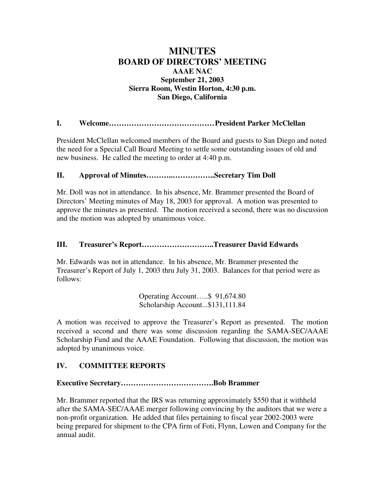# **MINUTES BOARD OF DIRECTORS' MEETING AAAE NAC September 21, 2003 Sierra Room, Westin Horton, 4:30 p.m. San Diego, California**

**I. Welcome……………………………………President Parker McClellan**

President McClellan welcomed members of the Board and guests to San Diego and noted the need for a Special Call Board Meeting to settle some outstanding issues of old and new business. He called the meeting to order at 4:40 p.m.

## **II. Approval of Minutes………..……………..Secretary Tim Doll**

Mr. Doll was not in attendance. In his absence, Mr. Brammer presented the Board of Directors' Meeting minutes of May 18, 2003 for approval. A motion was presented to approve the minutes as presented. The motion received a second, there was no discussion and the motion was adopted by unanimous voice.

## **III. Treasurer's Report………………………..Treasurer David Edwards**

Mr. Edwards was not in attendance. In his absence, Mr. Brammer presented the Treasurer's Report of July 1, 2003 thru July 31, 2003. Balances for that period were as follows:

> Operating Account…..\$ 91,674.80 Scholarship Account...\$131,111.84

A motion was received to approve the Treasurer's Report as presented. The motion received a second and there was some discussion regarding the SAMA-SEC/AAAE Scholarship Fund and the AAAE Foundation. Following that discussion, the motion was adopted by unanimous voice.

# **IV. COMMITTEE REPORTS**

## **Executive Secretary……………………………….Bob Brammer**

Mr. Brammer reported that the IRS was returning approximately \$550 that it withheld after the SAMA-SEC/AAAE merger following convincing by the auditors that we were a non-profit organization. He added that files pertaining to fiscal year 2002-2003 were being prepared for shipment to the CPA firm of Foti, Flynn, Lowen and Company for the annual audit.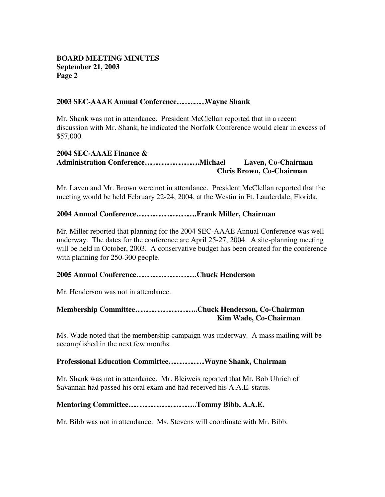### **2003 SEC-AAAE Annual Conference……………Wayne Shank**

Mr. Shank was not in attendance. President McClellan reported that in a recent discussion with Mr. Shank, he indicated the Norfolk Conference would clear in excess of \$57,000.

### **2004 SEC-AAAE Finance & Administration Conference………………………..Michael Laven, Co-Chairman Chris Brown, Co-Chairman**

Mr. Laven and Mr. Brown were not in attendance. President McClellan reported that the meeting would be held February 22-24, 2004, at the Westin in Ft. Lauderdale, Florida.

### **2004 Annual Conference…………………………..Frank Miller, Chairman**

Mr. Miller reported that planning for the 2004 SEC-AAAE Annual Conference was well underway. The dates for the conference are April 25-27, 2004. A site-planning meeting will be held in October, 2003. A conservative budget has been created for the conference with planning for 250-300 people.

#### **2005 Annual Conference…………………………..Chuck Henderson**

Mr. Henderson was not in attendance.

### **Membership Committee…………………………...Chuck Henderson, Co-Chairman Kim Wade, Co-Chairman**

Ms. Wade noted that the membership campaign was underway. A mass mailing will be accomplished in the next few months.

#### **Professional Education Committee……………….Wayne Shank, Chairman**

Mr. Shank was not in attendance. Mr. Bleiweis reported that Mr. Bob Uhrich of Savannah had passed his oral exam and had received his A.A.E. status.

#### **Mentoring Committee……………………………...Tommy Bibb, A.A.E.**

Mr. Bibb was not in attendance. Ms. Stevens will coordinate with Mr. Bibb.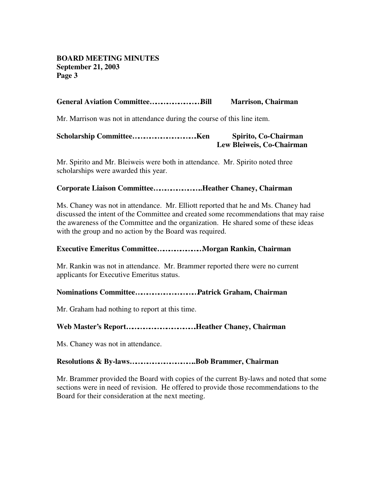### **General Aviation Committee………………………Bill Marrison, Chairman**

Mr. Marrison was not in attendance during the course of this line item.

### **Scholarship Committee…………………………….Ken Spirito, Co-Chairman Lew Bleiweis, Co-Chairman**

Mr. Spirito and Mr. Bleiweis were both in attendance. Mr. Spirito noted three scholarships were awarded this year.

#### **Corporate Liaison Committee……………………..Heather Chaney, Chairman**

Ms. Chaney was not in attendance. Mr. Elliott reported that he and Ms. Chaney had discussed the intent of the Committee and created some recommendations that may raise the awareness of the Committee and the organization. He shared some of these ideas with the group and no action by the Board was required.

#### **Executive Emeritus Committee……………………Morgan Rankin, Chairman**

Mr. Rankin was not in attendance. Mr. Brammer reported there were no current applicants for Executive Emeritus status.

#### **Nominations Committee……………………………Patrick Graham, Chairman**

Mr. Graham had nothing to report at this time.

### **Web Master's Report……………………………….Heather Chaney, Chairman**

Ms. Chaney was not in attendance.

#### **Resolutions & By-laws……………………………..Bob Brammer, Chairman**

Mr. Brammer provided the Board with copies of the current By-laws and noted that some sections were in need of revision. He offered to provide those recommendations to the Board for their consideration at the next meeting.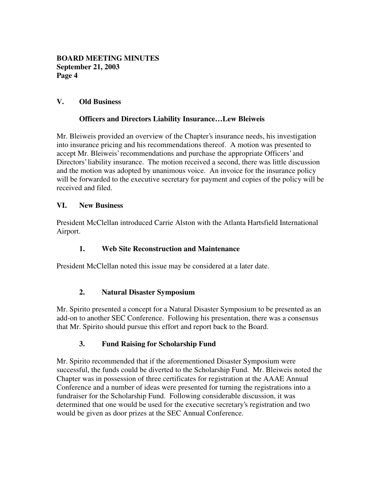## **V. Old Business**

## **Officers and Directors Liability Insurance… Lew Bleiweis**

Mr. Bleiweis provided an overview of the Chapter's insurance needs, his investigation into insurance pricing and his recommendations thereof. A motion was presented to accept Mr. Bleiweis' recommendations and purchase the appropriate Officers' and Directors' liability insurance. The motion received a second, there was little discussion and the motion was adopted by unanimous voice. An invoice for the insurance policy will be forwarded to the executive secretary for payment and copies of the policy will be received and filed.

## **VI. New Business**

President McClellan introduced Carrie Alston with the Atlanta Hartsfield International Airport.

## **1. Web Site Reconstruction and Maintenance**

President McClellan noted this issue may be considered at a later date.

## **2. Natural Disaster Symposium**

Mr. Spirito presented a concept for a Natural Disaster Symposium to be presented as an add-on to another SEC Conference. Following his presentation, there was a consensus that Mr. Spirito should pursue this effort and report back to the Board.

# **3. Fund Raising for Scholarship Fund**

Mr. Spirito recommended that if the aforementioned Disaster Symposium were successful, the funds could be diverted to the Scholarship Fund. Mr. Bleiweis noted the Chapter was in possession of three certificates for registration at the AAAE Annual Conference and a number of ideas were presented for turning the registrations into a fundraiser for the Scholarship Fund. Following considerable discussion, it was determined that one would be used for the executive secretary's registration and two would be given as door prizes at the SEC Annual Conference.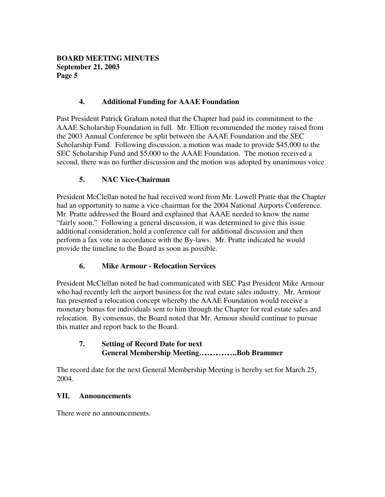## **4. Additional Funding for AAAE Foundation**

Past President Patrick Graham noted that the Chapter had paid its commitment to the AAAE Scholarship Foundation in full. Mr. Elliott recommended the money raised from the 2003 Annual Conference be split between the AAAE Foundation and the SEC Scholarship Fund. Following discussion, a motion was made to provide \$45,000 to the SEC Scholarship Fund and \$5,000 to the AAAE Foundation. The motion received a second, there was no further discussion and the motion was adopted by unanimous voice.

### **5. NAC Vice-Chairman**

President McClellan noted he had received word from Mr. Lowell Pratte that the Chapter had an opportunity to name a vice-chairman for the 2004 National Airports Conference. Mr. Pratte addressed the Board and explained that AAAE needed to know the name "fairly soon." Following a general discussion, it was determined to give this issue additional consideration, hold a conference call for additional discussion and then perform a fax vote in accordance with the By-laws. Mr. Pratte indicated he would provide the timeline to the Board as soon as possible.

## **6. Mike Armour - Relocation Services**

President McClellan noted he had communicated with SEC Past President Mike Armour who had recently left the airport business for the real estate sales industry. Mr. Armour has presented a relocation concept whereby the AAAE Foundation would receive a monetary bonus for individuals sent to him through the Chapter for real estate sales and relocation. By consensus, the Board noted that Mr. Armour should continue to pursue this matter and report back to the Board.

## **7. Setting of Record Date for next General Membership Meeting………………..Bob Brammer**

The record date for the next General Membership Meeting is hereby set for March 25, 2004.

### **VII. Announcements**

There were no announcements.